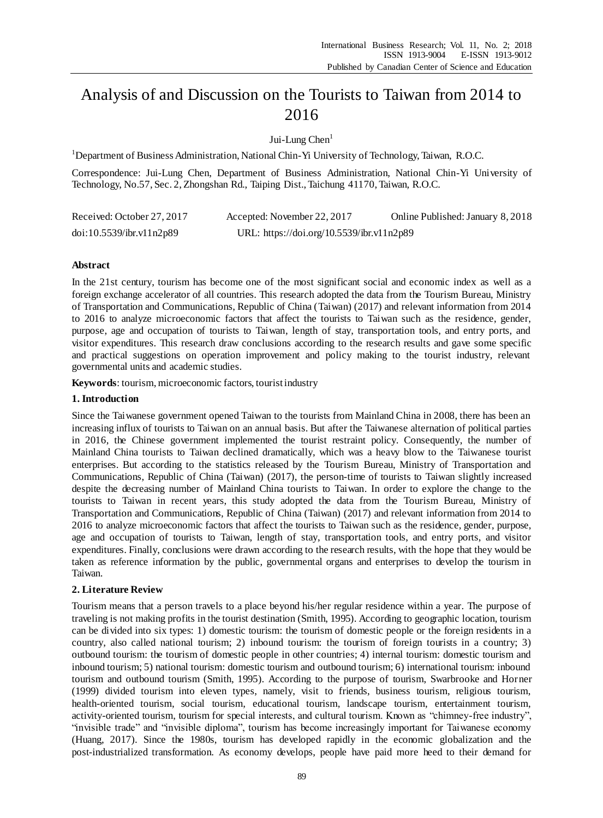# Analysis of and Discussion on the Tourists to Taiwan from 2014 to 2016

Jui-Lung Chen<sup>1</sup>

<sup>1</sup>Department of Business Administration, National Chin-Yi University of Technology, Taiwan, R.O.C.

Correspondence: Jui-Lung Chen, Department of Business Administration, National Chin-Yi University of Technology, No.57, Sec. 2, Zhongshan Rd., Taiping Dist., Taichung 41170, Taiwan, R.O.C.

| Received: October 27, 2017 | Accepted: November 22, 2017               | Online Published: January 8, 2018 |
|----------------------------|-------------------------------------------|-----------------------------------|
| doi:10.5539/ibr.v11n2p89   | URL: https://doi.org/10.5539/ibr.v11n2p89 |                                   |

# **Abstract**

In the 21st century, tourism has become one of the most significant social and economic index as well as a foreign exchange accelerator of all countries. This research adopted the data from the Tourism Bureau, Ministry of Transportation and Communications, Republic of China (Taiwan) (2017) and relevant information from 2014 to 2016 to analyze microeconomic factors that affect the tourists to Taiwan such as the residence, gender, purpose, age and occupation of tourists to Taiwan, length of stay, transportation tools, and entry ports, and visitor expenditures. This research draw conclusions according to the research results and gave some specific and practical suggestions on operation improvement and policy making to the tourist industry, relevant governmental units and academic studies.

**Keywords**: tourism, microeconomic factors, tourist industry

### **1. Introduction**

Since the Taiwanese government opened Taiwan to the tourists from Mainland China in 2008, there has been an increasing influx of tourists to Taiwan on an annual basis. But after the Taiwanese alternation of political parties in 2016, the Chinese government implemented the tourist restraint policy. Consequently, the number of Mainland China tourists to Taiwan declined dramatically, which was a heavy blow to the Taiwanese tourist enterprises. But according to the statistics released by the Tourism Bureau, Ministry of Transportation and Communications, Republic of China (Taiwan) (2017), the person-time of tourists to Taiwan slightly increased despite the decreasing number of Mainland China tourists to Taiwan. In order to explore the change to the tourists to Taiwan in recent years, this study adopted the data from the Tourism Bureau, Ministry of Transportation and Communications, Republic of China (Taiwan) (2017) and relevant information from 2014 to 2016 to analyze microeconomic factors that affect the tourists to Taiwan such as the residence, gender, purpose, age and occupation of tourists to Taiwan, length of stay, transportation tools, and entry ports, and visitor expenditures. Finally, conclusions were drawn according to the research results, with the hope that they would be taken as reference information by the public, governmental organs and enterprises to develop the tourism in Taiwan.

# **2. Literature Review**

Tourism means that a person travels to a place beyond his/her regular residence within a year. The purpose of traveling is not making profits in the tourist destination (Smith, 1995). According to geographic location, tourism can be divided into six types: 1) domestic tourism: the tourism of domestic people or the foreign residents in a country, also called national tourism; 2) inbound tourism: the tourism of foreign tourists in a country; 3) outbound tourism: the tourism of domestic people in other countries; 4) internal tourism: domestic tourism and inbound tourism; 5) national tourism: domestic tourism and outbound tourism; 6) international tourism: inbound tourism and outbound tourism (Smith, 1995). According to the purpose of tourism, Swarbrooke and Horner (1999) divided tourism into eleven types, namely, visit to friends, business tourism, religious tourism, health-oriented tourism, social tourism, educational tourism, landscape tourism, entertainment tourism, activity-oriented tourism, tourism for special interests, and cultural tourism. Known as "chimney-free industry", "invisible trade" and "invisible diploma", tourism has become increasingly important for Taiwanese economy (Huang, 2017). Since the 1980s, tourism has developed rapidly in the economic globalization and the post-industrialized transformation. As economy develops, people have paid more heed to their demand for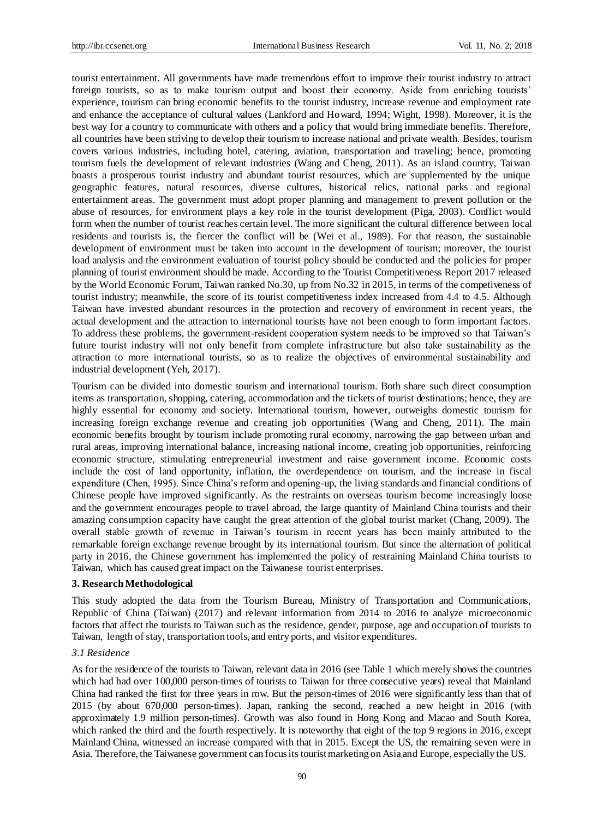tourist entertainment. All governments have made tremendous effort to improve their tourist industry to attract foreign tourists, so as to make tourism output and boost their economy. Aside from enriching tourists' experience, tourism can bring economic benefits to the tourist industry, increase revenue and employment rate and enhance the acceptance of cultural values (Lankford and Howard, 1994; Wight, 1998). Moreover, it is the best way for a country to communicate with others and a policy that would bring immediate benefits. Therefore, all countries have been striving to develop their tourism to increase national and private wealth. Besides, tourism covers various industries, including hotel, catering, aviation, transportation and traveling; hence, promoting tourism fuels the development of relevant industries (Wang and Cheng, 2011). As an island country, Taiwan boasts a prosperous tourist industry and abundant tourist resources, which are supplemented by the unique geographic features, natural resources, diverse cultures, historical relics, national parks and regional entertainment areas. The government must adopt proper planning and management to prevent pollution or the abuse of resources, for environment plays a key role in the tourist development (Piga, 2003). Conflict would form when the number of tourist reaches certain level. The more significant the cultural difference between local residents and tourists is, the fiercer the conflict will be (Wei et al., 1989). For that reason, the sustainable development of environment must be taken into account in the development of tourism; moreover, the tourist load analysis and the environment evaluation of tourist policy should be conducted and the policies for proper planning of tourist environment should be made. According to the Tourist Competitiveness Report 2017 released by the World Economic Forum, Taiwan ranked No.30, up from No.32 in 2015, in terms of the competiveness of tourist industry; meanwhile, the score of its tourist competitiveness index increased from 4.4 to 4.5. Although Taiwan have invested abundant resources in the protection and recovery of environment in recent years, the actual development and the attraction to international tourists have not been enough to form important factors. To address these problems, the government-resident cooperation system needs to be improved so that Taiwan's future tourist industry will not only benefit from complete infrastructure but also take sustainability as the attraction to more international tourists, so as to realize the objectives of environmental sustainability and industrial development (Yeh, 2017).

Tourism can be divided into domestic tourism and international tourism. Both share such direct consumption items as transportation, shopping, catering, accommodation and the tickets of tourist destinations; hence, they are highly essential for economy and society. International tourism, however, outweighs domestic tourism for increasing foreign exchange revenue and creating job opportunities (Wang and Cheng, 2011). The main economic benefits brought by tourism include promoting rural economy, narrowing the gap between urban and rural areas, improving international balance, increasing national income, creating job opportunities, reinforcing economic structure, stimulating entrepreneurial investment and raise government income. Economic costs include the cost of land opportunity, inflation, the overdependence on tourism, and the increase in fiscal expenditure (Chen, 1995). Since China's reform and opening-up, the living standards and financial conditions of Chinese people have improved significantly. As the restraints on overseas tourism become increasingly loose and the government encourages people to travel abroad, the large quantity of Mainland China tourists and their amazing consumption capacity have caught the great attention of the global tourist market (Chang, 2009). The overall stable growth of revenue in Taiwan's tourism in recent years has been mainly attributed to the remarkable foreign exchange revenue brought by its international tourism. But since the alternation of political party in 2016, the Chinese government has implemented the policy of restraining Mainland China tourists to Taiwan, which has caused great impact on the Taiwanese tourist enterprises.

### **3. Research Methodological**

This study adopted the data from the Tourism Bureau, Ministry of Transportation and Communications, Republic of China (Taiwan) (2017) and relevant information from 2014 to 2016 to analyze microeconomic factors that affect the tourists to Taiwan such as the residence, gender, purpose, age and occupation of tourists to Taiwan, length of stay, transportation tools, and entry ports, and visitor expenditures.

### *3.1 Residence*

As for the residence of the tourists to Taiwan, relevant data in 2016 (see Table 1 which merely shows the countries which had had over 100,000 person-times of tourists to Taiwan for three consecutive years) reveal that Mainland China had ranked the first for three years in row. But the person-times of 2016 were significantly less than that of 2015 (by about 670,000 person-times). Japan, ranking the second, reached a new height in 2016 (with approximately 1.9 million person-times). Growth was also found in Hong Kong and Macao and South Korea, which ranked the third and the fourth respectively. It is noteworthy that eight of the top 9 regions in 2016, except Mainland China, witnessed an increase compared with that in 2015. Except the US, the remaining seven were in Asia. Therefore, the Taiwanese government can focus its tourist marketing on Asia and Europe, especially the US.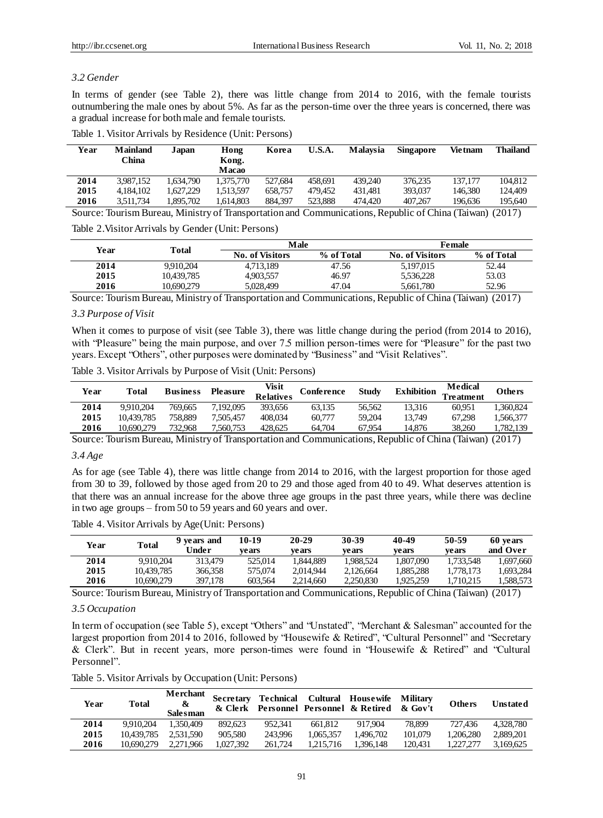# *3.2 Gender*

In terms of gender (see Table 2), there was little change from 2014 to 2016, with the female tourists outnumbering the male ones by about 5%. As far as the person-time over the three years is concerned, there was a gradual increase for both male and female tourists.

|      | Table 1. Visitor Arrivals by Residence (Unit: Persons) |       |               |       |        |                            |                 |
|------|--------------------------------------------------------|-------|---------------|-------|--------|----------------------------|-----------------|
| Year | <b>Mainland</b><br>China.                              | Japan | Hong<br>Kong. | Korea | U.S.A. | Malaysia Singapore Vietnam | <b>Thailand</b> |

|      | China     |          | Kong.<br>Macao |         |         |         |         |         |         |
|------|-----------|----------|----------------|---------|---------|---------|---------|---------|---------|
| 2014 | 3.987.152 | .634.790 | 1.375.770      | 527.684 | 458.691 | 439.240 | 376.235 | 137.177 | 104.812 |
| 2015 | 4.184.102 | .627.229 | 1.513.597      | 658,757 | 479.452 | 431.481 | 393,037 | 146.380 | 124.409 |
| 2016 | 3.511.734 | .895.702 | 1.614.803      | 884.397 | 523.888 | 474.420 | 407.267 | 196.636 | 195.640 |
|      |           |          |                |         |         |         |         |         |         |

Source: Tourism Bureau, Ministry of Transportation and Communications, Republic of China (Taiwan) (2017)

Table 2.Visitor Arrivals by Gender (Unit: Persons)

| Year |            | Male                   |            | <b>Female</b>          |            |  |
|------|------------|------------------------|------------|------------------------|------------|--|
|      | Total      | <b>No. of Visitors</b> | % of Total | <b>No. of Visitors</b> | % of Total |  |
| 2014 | 9.910.204  | 4.713.189              | 47.56      | 5.197.015              | 52.44      |  |
| 2015 | 10.439.785 | 4.903.557              | 46.97      | 5.536.228              | 53.03      |  |
| 2016 | 10,690,279 | 5.028.499              | 47.04      | 5,661,780              | 52.96      |  |

Source: Tourism Bureau, Ministry of Transportation and Communications, Republic of China (Taiwan) (2017)

# *3.3 Purpose of Visit*

When it comes to purpose of visit (see Table 3), there was little change during the period (from 2014 to 2016), with "Pleasure" being the main purpose, and over 7.5 million person-times were for "Pleasure" for the past two years. Except "Others", other purposes were dominated by "Business" and "Visit Relatives".

| Table 3. Visitor Arrivals by Purpose of Visit (Unit: Persons) |  |  |  |  |
|---------------------------------------------------------------|--|--|--|--|
|---------------------------------------------------------------|--|--|--|--|

| Year | Total      | <b>Business</b> | <b>Pleasure</b> | Visit<br><b>Relatives</b> | <b>Conference</b> | <b>Study</b> | <b>Exhibition</b> | Medical<br>l'reatment | Others    |
|------|------------|-----------------|-----------------|---------------------------|-------------------|--------------|-------------------|-----------------------|-----------|
| 2014 | 9.910.204  | 769,665         | 7.192.095       | 393,656                   | 63.135            | 56.562       | 13.316            | 60.951                | .360.824  |
| 2015 | 10.439.785 | 758.889         | 7.505.457       | 408,034                   | 60,777            | 59.204       | 13.749            | 67.298                | . 566.377 |
| 2016 | 10.690.279 | 732.968         | 7.560.753       | 428.625                   | 64.704            | 67.954       | 14.876            | 38.260                | .782.139  |

Source: Tourism Bureau, Ministry of Transportation and Communications, Republic of China (Taiwan) (2017)

# *3.4 Age*

As for age (see Table 4), there was little change from 2014 to 2016, with the largest proportion for those aged from 30 to 39, followed by those aged from 20 to 29 and those aged from 40 to 49. What deserves attention is that there was an annual increase for the above three age groups in the past three years, while there was decline in two age groups – from 50 to 59 years and 60 years and over.

Table 4. Visitor Arrivals by Age(Unit: Persons)

| Year | <b>Total</b> | 9 vears and<br>Under | 10-19<br>ve ars | 20-29<br>vears | 30-39<br>vears | 40-49<br>vears | 50-59<br>vears | 60 years<br>and Over |
|------|--------------|----------------------|-----------------|----------------|----------------|----------------|----------------|----------------------|
| 2014 | 9.910.204    | 313.479              | 525,014         | 1.844.889      | 1.988.524      | 1.807.090      | 1.733.548      | 1.697.660            |
| 2015 | 10.439.785   | 366,358              | 575,074         | 2.014.944      | 2.126.664      | 1.885.288      | 1.778.173      | .693.284             |
| 2016 | 10.690.279   | 397,178              | 603.564         | 2.214,660      | 2.250.830      | 1.925.259      | .710.215       | .588.573             |

Source: Tourism Bureau, Ministry of Transportation and Communications, Republic of China (Taiwan) (2017)

# *3.5 Occupation*

In term of occupation (see Table 5), except "Others" and "Unstated", "Merchant & Salesman" accounted for the largest proportion from 2014 to 2016, followed by "Housewife & Retired", "Cultural Personnel" and "Secretary & Clerk". But in recent years, more person-times were found in "Housewife & Retired" and "Cultural Personnel".

Table 5. Visitor Arrivals by Occupation (Unit: Persons)

| Year | Total      | Merchant<br>&<br><b>Salesman</b> | <b>Secretary</b> | Technical |           | Cultural Housewife Military<br>& Clerk Personnel Personnel & Retired & Gov't |         | <b>Others</b> | <b>Unstated</b> |
|------|------------|----------------------------------|------------------|-----------|-----------|------------------------------------------------------------------------------|---------|---------------|-----------------|
| 2014 | 9.910.204  | 1.350.409                        | 892.623          | 952.341   | 661.812   | 917.904                                                                      | 78.899  | 727.436       | 4.328.780       |
| 2015 | 10.439.785 | 2.531.590                        | 905,580          | 243.996   | 1.065.357 | 1.496.702                                                                    | 101,079 | 1.206.280     | 2.889.201       |
| 2016 | 10.690.279 | 2.271.966                        | 1.027.392        | 261.724   | 1.215.716 | 1.396.148                                                                    | 120.431 | 1.227.277     | 3.169.625       |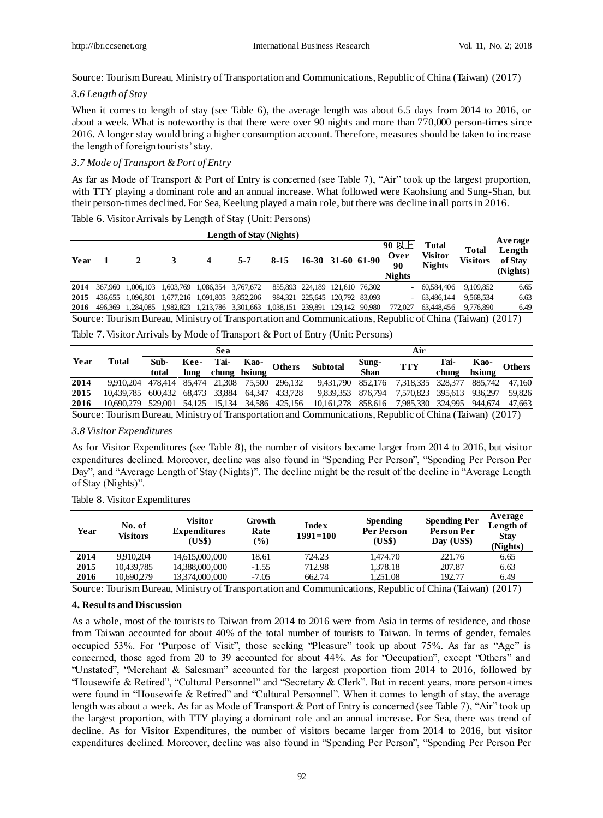Source: Tourism Bureau, Ministry of Transportation and Communications, Republic of China (Taiwan) (2017)

### *3.6 Length of Stay*

When it comes to length of stay (see Table 6), the average length was about 6.5 days from 2014 to 2016, or about a week. What is noteworthy is that there were over 90 nights and more than 770,000 person-times since 2016. A longer stay would bring a higher consumption account. Therefore, measures should be taken to increase the length of foreign tourists' stay.

# *3.7 Mode of Transport & Port of Entry*

As far as Mode of Transport & Port of Entry is concerned (see Table 7), "Air" took up the largest proportion, with TTY playing a dominant role and an annual increase. What followed were Kaohsiung and Sung-Shan, but their person-times declined. For Sea, Keelung played a main role, but there was decline in all ports in 2016.

Table 6. Visitor Arrivals by Length of Stay (Unit: Persons)

|      | Length of Stay (Nights) |                   |                               |                               |         |                                  |                                |  |  |                                               |                                                                                 |                          | Average                       |
|------|-------------------------|-------------------|-------------------------------|-------------------------------|---------|----------------------------------|--------------------------------|--|--|-----------------------------------------------|---------------------------------------------------------------------------------|--------------------------|-------------------------------|
| Year |                         |                   |                               | 4                             | $5 - 7$ | 8-15 16-30 31-60 61-90           |                                |  |  | $90$ 以上<br><b>Over</b><br>90<br><b>Nights</b> | <b>Total</b><br><b>Visitor</b><br><b>Nights</b>                                 | <b>Total</b><br>Visitors | Length<br>of Stay<br>(Nights) |
| 2014 |                         | 367.960 1.006.103 | 1,603,769 1,086,354 3,767,672 |                               |         |                                  | 855,893 224,189 121,610 76,302 |  |  | $\sim$                                        | 60.584.406                                                                      | 9,109,852                | 6.65                          |
| 2015 | 436.655                 | 1.096.801         |                               | 1.677.216 1.091.805 3.852.206 |         |                                  | 984.321 225.645 120.792 83.093 |  |  | $\sim$                                        | 63,486,144                                                                      | 9.568.534                | 6.63                          |
| 2016 | 496.369                 | 1.284.085         |                               | 1,982,823 1,213,786 3,301,663 |         | 1,038,151 239,891 129,142 90,980 |                                |  |  | 772,027                                       | 63.448.456                                                                      | 9.776.890                | 6.49                          |
|      |                         |                   |                               |                               |         |                                  |                                |  |  |                                               | $\alpha$ m in $M'$ and $\alpha$ in $\alpha$ is $\alpha$ if $\alpha$ is $\alpha$ |                          |                               |

Source: Tourism Bureau, Ministry of Transportation and Communications, Republic of China (Taiwan) (2017)

Table 7. Visitor Arrivals by Mode of Transport & Port of Entry (Unit: Persons)

|      |                    |                       |              | Sea                  |        |                              | Air                                                                                                      |               |                           |               |                |               |
|------|--------------------|-----------------------|--------------|----------------------|--------|------------------------------|----------------------------------------------------------------------------------------------------------|---------------|---------------------------|---------------|----------------|---------------|
| Year | Total              | Sub-<br>total         | Kee-<br>lung | Tai-<br>chung hsiung | Kao-   | Others                       | <b>Subtotal</b>                                                                                          | Sung-<br>Shan | <b>TTY</b>                | Tai-<br>chung | Kao-<br>hsiung | <b>Others</b> |
| 2014 | 9.910.204          | 478,414 85,474 21,308 |              |                      | 75.500 | 296.132                      | 9.431.790 852.176                                                                                        |               | 7,318,335                 | 328.377       | 885.742        | 47.160        |
| 2015 | 10.439.785         | 600.432 68.473 33.884 |              |                      | 64.347 | 433.728                      | 9.839.353 876.794                                                                                        |               | 7.570.823 395.613 936.297 |               |                | 59,826        |
| 2016 | 10.690.279 529.001 |                       |              |                      |        | 54,125 15,134 34,586 425,156 | 10,161,278 858,616 7,985,330 324,995 944,674                                                             |               |                           |               |                | 47.663        |
|      |                    |                       |              |                      |        |                              | Source: Tourism Burgey, Ministry of Transportation and Communications, Depublic of China (Taiwan) (2017) |               |                           |               |                |               |

Source: Tourism Bureau, Ministry of Transportation and Communications, Republic of China (Taiwan) (2017)

### *3.8 Visitor Expenditures*

As for Visitor Expenditures (see Table 8), the number of visitors became larger from 2014 to 2016, but visitor expenditures declined. Moreover, decline was also found in "Spending Per Person", "Spending Per Person Per Day", and "Average Length of Stay (Nights)". The decline might be the result of the decline in "Average Length of Stay (Nights)".

| Year | No. of<br>Visitors | Visitor<br><b>Expenditures</b><br>(US\$) | Growth<br>Rate<br>(%) | <b>Index</b><br>$1991 = 100$ | <b>Spending</b><br>Per Person<br>(US\$) | <b>Spending Per</b><br>Person Per<br>Day (US\$) | Average<br>Length of<br><b>Stav</b><br>(Nights) |
|------|--------------------|------------------------------------------|-----------------------|------------------------------|-----------------------------------------|-------------------------------------------------|-------------------------------------------------|
| 2014 | 9.910.204          | 14,615,000,000                           | 18.61                 | 724.23                       | 1,474.70                                | 221.76                                          | 6.65                                            |
| 2015 | 10.439.785         | 14.388,000,000                           | $-1.55$               | 712.98                       | 1.378.18                                | 207.87                                          | 6.63                                            |
| 2016 | 10,690.279         | 13.374.000.000                           | $-7.05$               | 662.74                       | 1.251.08                                | 192.77                                          | 6.49                                            |

### Table 8. Visitor Expenditures

Source: Tourism Bureau, Ministry of Transportation and Communications, Republic of China (Taiwan) (2017)

# **4. Results and Discussion**

As a whole, most of the tourists to Taiwan from 2014 to 2016 were from Asia in terms of residence, and those from Taiwan accounted for about 40% of the total number of tourists to Taiwan. In terms of gender, females occupied 53%. For "Purpose of Visit", those seeking "Pleasure" took up about 75%. As far as "Age" is concerned, those aged from 20 to 39 accounted for about 44%. As for "Occupation", except "Others" and "Unstated", "Merchant & Salesman" accounted for the largest proportion from 2014 to 2016, followed by "Housewife & Retired", "Cultural Personnel" and "Secretary & Clerk". But in recent years, more person-times were found in "Housewife & Retired" and "Cultural Personnel". When it comes to length of stay, the average length was about a week. As far as Mode of Transport & Port of Entry is concerned (see Table 7), "Air" took up the largest proportion, with TTY playing a dominant role and an annual increase. For Sea, there was trend of decline. As for Visitor Expenditures, the number of visitors became larger from 2014 to 2016, but visitor expenditures declined. Moreover, decline was also found in "Spending Per Person", "Spending Per Person Per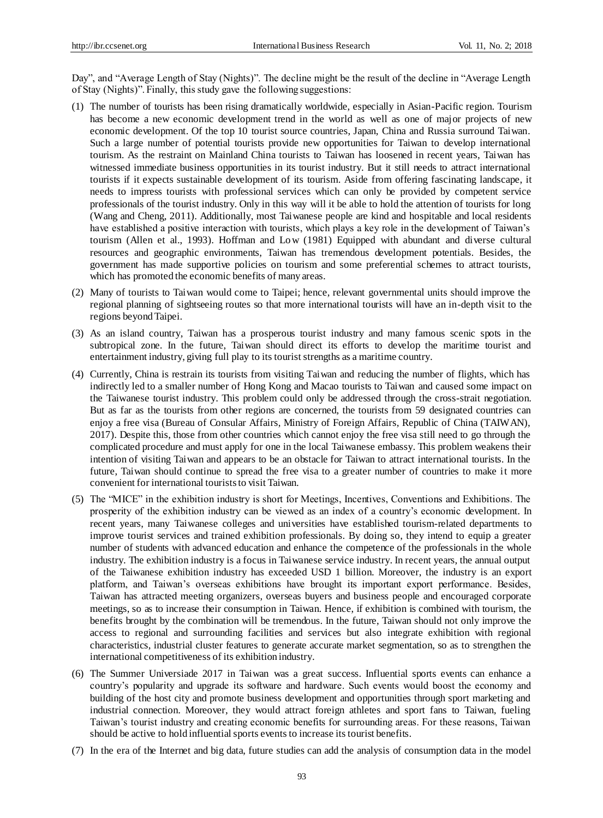Day", and "Average Length of Stay (Nights)". The decline might be the result of the decline in "Average Length of Stay (Nights)". Finally, this study gave the following suggestions:

- (1) The number of tourists has been rising dramatically worldwide, especially in Asian-Pacific region. Tourism has become a new economic development trend in the world as well as one of major projects of new economic development. Of the top 10 tourist source countries, Japan, China and Russia surround Taiwan. Such a large number of potential tourists provide new opportunities for Taiwan to develop international tourism. As the restraint on Mainland China tourists to Taiwan has loosened in recent years, Taiwan has witnessed immediate business opportunities in its tourist industry. But it still needs to attract international tourists if it expects sustainable development of its tourism. Aside from offering fascinating landscape, it needs to impress tourists with professional services which can only be provided by competent service professionals of the tourist industry. Only in this way will it be able to hold the attention of tourists for long (Wang and Cheng, 2011). Additionally, most Taiwanese people are kind and hospitable and local residents have established a positive interaction with tourists, which plays a key role in the development of Taiwan's tourism (Allen et al., 1993). Hoffman and Low (1981) Equipped with abundant and diverse cultural resources and geographic environments, Taiwan has tremendous development potentials. Besides, the government has made supportive policies on tourism and some preferential schemes to attract tourists, which has promoted the economic benefits of many areas.
- (2) Many of tourists to Taiwan would come to Taipei; hence, relevant governmental units should improve the regional planning of sightseeing routes so that more international tourists will have an in-depth visit to the regions beyond Taipei.
- (3) As an island country, Taiwan has a prosperous tourist industry and many famous scenic spots in the subtropical zone. In the future, Taiwan should direct its efforts to develop the maritime tourist and entertainment industry, giving full play to its tourist strengths as a maritime country.
- (4) Currently, China is restrain its tourists from visiting Taiwan and reducing the number of flights, which has indirectly led to a smaller number of Hong Kong and Macao tourists to Taiwan and caused some impact on the Taiwanese tourist industry. This problem could only be addressed through the cross-strait negotiation. But as far as the tourists from other regions are concerned, the tourists from 59 designated countries can enjoy a free visa (Bureau of Consular Affairs, Ministry of Foreign Affairs, Republic of China (TAIWAN), 2017). Despite this, those from other countries which cannot enjoy the free visa still need to go through the complicated procedure and must apply for one in the local Taiwanese embassy. This problem weakens their intention of visiting Taiwan and appears to be an obstacle for Taiwan to attract international tourists. In the future, Taiwan should continue to spread the free visa to a greater number of countries to make it more convenient for international tourists to visit Taiwan.
- (5) The "MICE" in the exhibition industry is short for Meetings, Incentives, Conventions and Exhibitions. The prosperity of the exhibition industry can be viewed as an index of a country's economic development. In recent years, many Taiwanese colleges and universities have established tourism-related departments to improve tourist services and trained exhibition professionals. By doing so, they intend to equip a greater number of students with advanced education and enhance the competence of the professionals in the whole industry. The exhibition industry is a focus in Taiwanese service industry. In recent years, the annual output of the Taiwanese exhibition industry has exceeded USD 1 billion. Moreover, the industry is an export platform, and Taiwan's overseas exhibitions have brought its important export performance. Besides, Taiwan has attracted meeting organizers, overseas buyers and business people and encouraged corporate meetings, so as to increase their consumption in Taiwan. Hence, if exhibition is combined with tourism, the benefits brought by the combination will be tremendous. In the future, Taiwan should not only improve the access to regional and surrounding facilities and services but also integrate exhibition with regional characteristics, industrial cluster features to generate accurate market segmentation, so as to strengthen the international competitiveness of its exhibition industry.
- (6) The Summer Universiade 2017 in Taiwan was a great success. Influential sports events can enhance a country's popularity and upgrade its software and hardware. Such events would boost the economy and building of the host city and promote business development and opportunities through sport marketing and industrial connection. Moreover, they would attract foreign athletes and sport fans to Taiwan, fueling Taiwan's tourist industry and creating economic benefits for surrounding areas. For these reasons, Taiwan should be active to hold influential sports events to increase its tourist benefits.
- (7) In the era of the Internet and big data, future studies can add the analysis of consumption data in the model